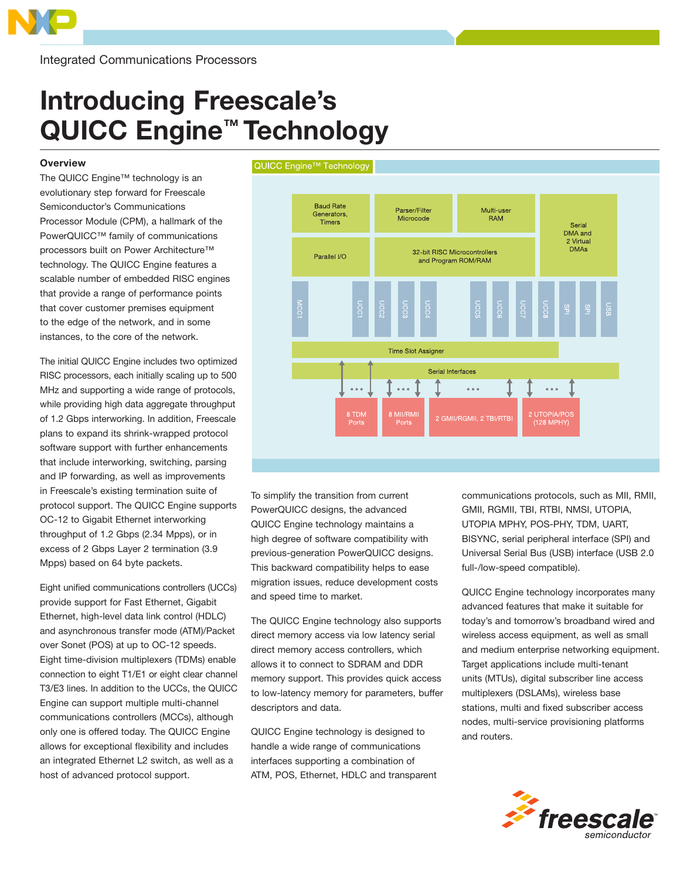

Integrated Communications Processors

# Introducing Freescale's QUICC Engine<sup>™</sup> Technology

## **Overview**

The QUICC Engine™ technology is an evolutionary step forward for Freescale Semiconductor's Communications Processor Module (CPM), a hallmark of the PowerQUICC™ family of communications processors built on Power Architecture™ technology. The QUICC Engine features a scalable number of embedded RISC engines that provide a range of performance points that cover customer premises equipment to the edge of the network, and in some instances, to the core of the network.

The initial QUICC Engine includes two optimized RISC processors, each initially scaling up to 500 MHz and supporting a wide range of protocols, while providing high data aggregate throughput of 1.2 Gbps interworking. In addition, Freescale plans to expand its shrink-wrapped protocol software support with further enhancements that include interworking, switching, parsing and IP forwarding, as well as improvements in Freescale's existing termination suite of protocol support. The QUICC Engine supports OC-12 to Gigabit Ethernet interworking throughput of 1.2 Gbps (2.34 Mpps), or in excess of 2 Gbps Layer 2 termination (3.9 Mpps) based on 64 byte packets.

Eight unified communications controllers (UCCs) provide support for Fast Ethernet, Gigabit Ethernet, high-level data link control (HDLC) and asynchronous transfer mode (ATM)/Packet over Sonet (POS) at up to OC-12 speeds. Eight time-division multiplexers (TDMs) enable connection to eight T1/E1 or eight clear channel T3/E3 lines. In addition to the UCCs, the QUICC Engine can support multiple multi-channel communications controllers (MCCs), although only one is offered today. The QUICC Engine allows for exceptional flexibility and includes an integrated Ethernet L2 switch, as well as a host of advanced protocol support.





To simplify the transition from current PowerQUICC designs, the advanced QUICC Engine technology maintains a high degree of software compatibility with previous-generation PowerQUICC designs. This backward compatibility helps to ease migration issues, reduce development costs and speed time to market.

The QUICC Engine technology also supports direct memory access via low latency serial direct memory access controllers, which allows it to connect to SDRAM and DDR memory support. This provides quick access to low-latency memory for parameters, buffer descriptors and data.

QUICC Engine technology is designed to handle a wide range of communications interfaces supporting a combination of ATM, POS, Ethernet, HDLC and transparent communications protocols, such as MII, RMII, GMII, RGMII, TBI, RTBI, NMSI, UTOPIA, UTOPIA MPHY, POS-PHY, TDM, UART, BISYNC, serial peripheral interface (SPI) and Universal Serial Bus (USB) interface (USB 2.0 full-/low-speed compatible).

QUICC Engine technology incorporates many advanced features that make it suitable for today's and tomorrow's broadband wired and wireless access equipment, as well as small and medium enterprise networking equipment. Target applications include multi-tenant units (MTUs), digital subscriber line access multiplexers (DSLAMs), wireless base stations, multi and fixed subscriber access nodes, multi-service provisioning platforms and routers.

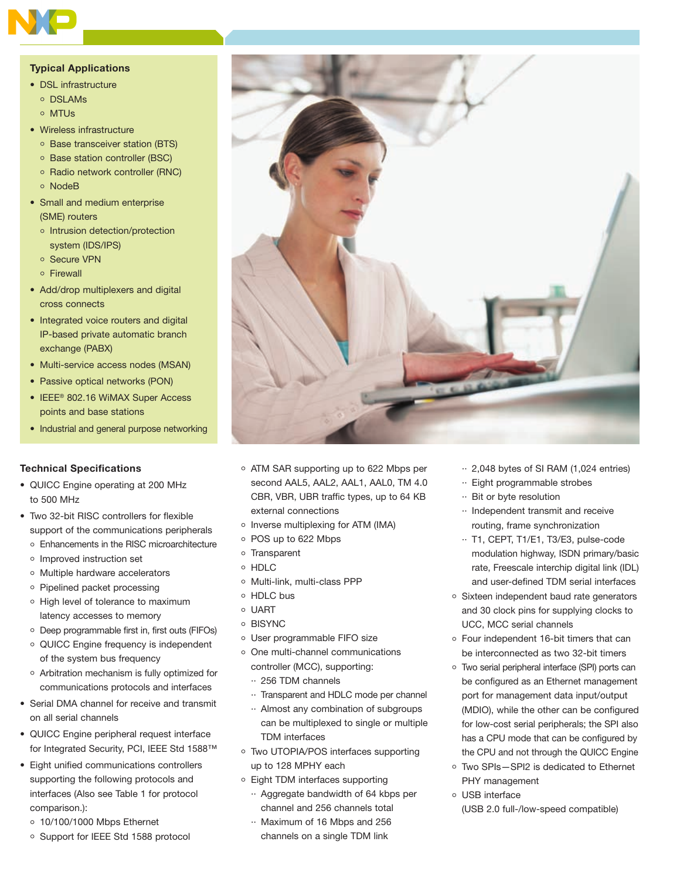

## Typical Applications

- DSL infrastructure
	- o DSLAMs
	- o MTUs
- Wireless infrastructure
	- Base transceiver station (BTS)
	- Base station controller (BSC)
	- o Radio network controller (RNC)
	- NodeB
- Small and medium enterprise (SME) routers
	- o Intrusion detection/protection system (IDS/IPS)
	- o Secure VPN
	- Firewall
- Add/drop multiplexers and digital cross connects
- Integrated voice routers and digital IP-based private automatic branch exchange (PABX)
- Multi-service access nodes (MSAN)
- Passive optical networks (PON)
- IEEE® 802.16 WiMAX Super Access points and base stations
- Industrial and general purpose networking

## Technical Specifications

- QUICC Engine operating at 200 MHz to 500 MHz
- Two 32-bit RISC controllers for flexible support of the communications peripherals
	- Enhancements in the RISC microarchitecture
	- o Improved instruction set
	- o Multiple hardware accelerators
	- o Pipelined packet processing
	- o High level of tolerance to maximum latency accesses to memory
	- Deep programmable first in, first outs (FIFOs)
	- QUICC Engine frequency is independent of the system bus frequency
	- Arbitration mechanism is fully optimized for communications protocols and interfaces
- Serial DMA channel for receive and transmit on all serial channels
- QUICC Engine peripheral request interface for Integrated Security, PCI, IEEE Std 1588™
- Eight unified communications controllers supporting the following protocols and interfaces (Also see Table 1 for protocol comparison.):
	- 10/100/1000 Mbps Ethernet
	- Support for IEEE Std 1588 protocol
- ATM SAR supporting up to 622 Mbps per second AAL5, AAL2, AAL1, AAL0, TM 4.0 CBR, VBR, UBR traffic types, up to 64 KB external connections
- $\circ$  Inverse multiplexing for ATM (IMA)
- POS up to 622 Mbps
- o Transparent
- o HDLC
- o Multi-link, multi-class PPP
- HDLC bus
- UART
- o BISYNC
- User programmable FIFO size
- o One multi-channel communications controller (MCC), supporting:
	- ·· 256 TDM channels
	- ·· Transparent and HDLC mode per channel
	- ·· Almost any combination of subgroups can be multiplexed to single or multiple TDM interfaces
- Two UTOPIA/POS interfaces supporting up to 128 MPHY each
- Eight TDM interfaces supporting
	- ·· Aggregate bandwidth of 64 kbps per channel and 256 channels total
	- ·· Maximum of 16 Mbps and 256 channels on a single TDM link
- ·· 2,048 bytes of SI RAM (1,024 entries)
- ·· Eight programmable strobes
- ·· Bit or byte resolution
- ·· Independent transmit and receive routing, frame synchronization
- ·· T1, CEPT, T1/E1, T3/E3, pulse-code modulation highway, ISDN primary/basic rate, Freescale interchip digital link (IDL) and user-defined TDM serial interfaces
- o Sixteen independent baud rate generators and 30 clock pins for supplying clocks to UCC, MCC serial channels
- Four independent 16-bit timers that can be interconnected as two 32-bit timers
- Two serial peripheral interface (SPI) ports can be configured as an Ethernet management port for management data input/output (MDIO), while the other can be configured for low-cost serial peripherals; the SPI also has a CPU mode that can be configured by the CPU and not through the QUICC Engine
- Two SPIs—SPI2 is dedicated to Ethernet PHY management
- USB interface (USB 2.0 full-/low-speed compatible)

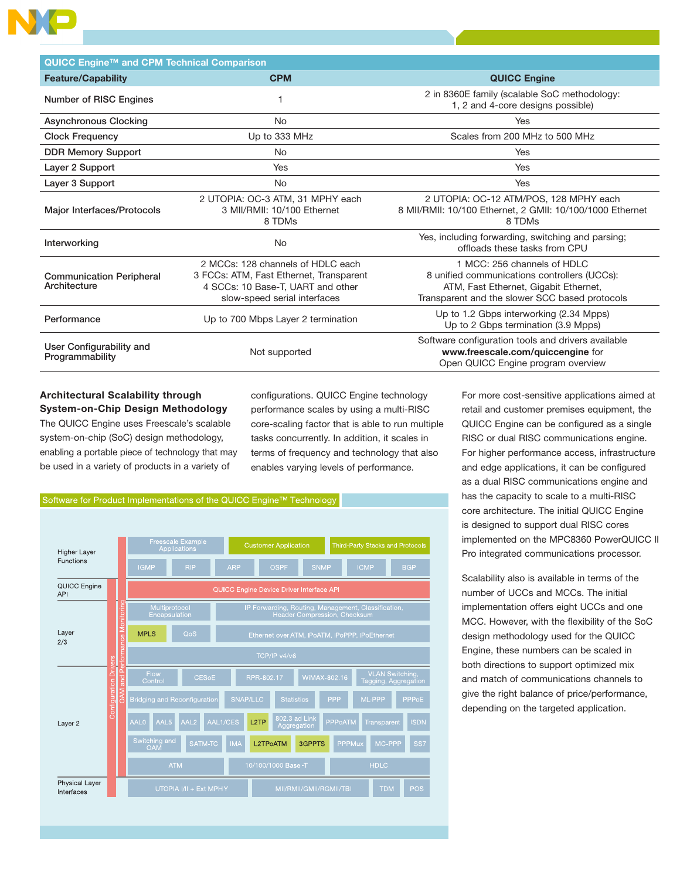| QUICC Engine™ and CPM Technical Comparison      |                                                                                                                                                   |                                                                                                                                                                        |  |  |
|-------------------------------------------------|---------------------------------------------------------------------------------------------------------------------------------------------------|------------------------------------------------------------------------------------------------------------------------------------------------------------------------|--|--|
| <b>Feature/Capability</b>                       | <b>CPM</b>                                                                                                                                        | <b>QUICC Engine</b>                                                                                                                                                    |  |  |
| Number of RISC Engines                          |                                                                                                                                                   | 2 in 8360E family (scalable SoC methodology:<br>1, 2 and 4-core designs possible)                                                                                      |  |  |
| <b>Asynchronous Clocking</b>                    | <b>No</b>                                                                                                                                         | Yes                                                                                                                                                                    |  |  |
| <b>Clock Frequency</b>                          | Up to 333 MHz                                                                                                                                     | Scales from 200 MHz to 500 MHz                                                                                                                                         |  |  |
| <b>DDR Memory Support</b>                       | <b>No</b>                                                                                                                                         | Yes                                                                                                                                                                    |  |  |
| Layer 2 Support                                 | Yes                                                                                                                                               | Yes                                                                                                                                                                    |  |  |
| Layer 3 Support                                 | <b>No</b>                                                                                                                                         | Yes                                                                                                                                                                    |  |  |
| Major Interfaces/Protocols                      | 2 UTOPIA: OC-3 ATM, 31 MPHY each<br>3 MII/RMII: 10/100 Ethernet<br>8 TDMs                                                                         | 2 UTOPIA: OC-12 ATM/POS, 128 MPHY each<br>8 MII/RMII: 10/100 Ethernet, 2 GMII: 10/100/1000 Ethernet<br>8 TDMs                                                          |  |  |
| Interworking                                    | <b>No</b>                                                                                                                                         | Yes, including forwarding, switching and parsing;<br>offloads these tasks from CPU                                                                                     |  |  |
| <b>Communication Peripheral</b><br>Architecture | 2 MCCs: 128 channels of HDLC each<br>3 FCCs: ATM, Fast Ethernet, Transparent<br>4 SCCs: 10 Base-T, UART and other<br>slow-speed serial interfaces | 1 MCC: 256 channels of HDLC<br>8 unified communications controllers (UCCs):<br>ATM, Fast Ethernet, Gigabit Ethernet,<br>Transparent and the slower SCC based protocols |  |  |
| Performance                                     | Up to 700 Mbps Layer 2 termination                                                                                                                | Up to 1.2 Gbps interworking (2.34 Mpps)<br>Up to 2 Gbps termination (3.9 Mpps)                                                                                         |  |  |
| User Configurability and<br>Programmability     | Not supported                                                                                                                                     | Software configuration tools and drivers available<br>www.freescale.com/quiccengine for<br>Open QUICC Engine program overview                                          |  |  |

## Architectural Scalability through System-on-Chip Design Methodology

The QUICC Engine uses Freescale's scalable system-on-chip (SoC) design methodology, enabling a portable piece of technology that may be used in a variety of products in a variety of

configurations. QUICC Engine technology performance scales by using a multi-RISC core-scaling factor that is able to run multiple tasks concurrently. In addition, it scales in terms of frequency and technology that also enables varying levels of performance.



For more cost-sensitive applications aimed at retail and customer premises equipment, the QUICC Engine can be configured as a single RISC or dual RISC communications engine. For higher performance access, infrastructure and edge applications, it can be configured as a dual RISC communications engine and has the capacity to scale to a multi-RISC core architecture. The initial QUICC Engine is designed to support dual RISC cores implemented on the MPC8360 PowerQUICC II Pro integrated communications processor.

Scalability also is available in terms of the number of UCCs and MCCs. The initial implementation offers eight UCCs and one MCC. However, with the flexibility of the SoC design methodology used for the QUICC Engine, these numbers can be scaled in both directions to support optimized mix and match of communications channels to give the right balance of price/performance, depending on the targeted application.